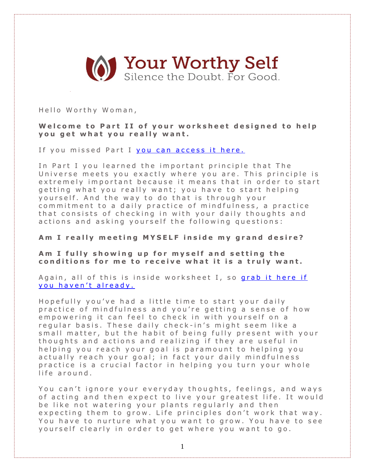

Hello Worthy Woman,

Welcome to Part II of your worksheet designed to help **you get what you really want.** 

If you missed Part I you can access it here.

In Part I you learned the important principle that The Universe meets you exactly where you are. This principle is extremely important because it means that in order to start getting what you really want; you have to start helping yourself. And the way to do that is through your commitment to a daily practice of mindfulness, a practice that consists of checking in with your daily thoughts and actions and asking yourself the following questions:

**A m I r e a l l y m e e t i n g M Y S E L F i n s i d e m y g r a n d d e s i r e ?**

**A m I f u l l y s h o w i n g u p f o r m y s e l f a n d s e t t i n g t h e c o n d i t i o n s f o r m e t o r e c e i v e w h a t i t i s a t r u l y w a n t .**

Again, all of this is inside worksheet I, so [grab](http://www.yourworthyself.com/#!worksheets/c10ry) it here if you haven't already.

Hopefully you've had a little time to start your daily practice of mindfulness and you're getting a sense of how empowering it can feel to check in with yourself on a regular basis. These daily check-in's might seem like a small matter, but the habit of being fully present with your thoughts and actions and realizing if they are useful in helping you reach your goal is paramount to helping you actually reach your goal; in fact your daily mindfulness practice is a crucial factor in helping you turn your whole life around.

You can't ignore your everyday thoughts, feelings, and ways of acting and then expect to live your greatest life. It would be like not watering your plants regularly and then expecting them to grow. Life principles don't work that way. You have to nurture what you want to grow. You have to see yourself clearly in order to get where you want to go.

1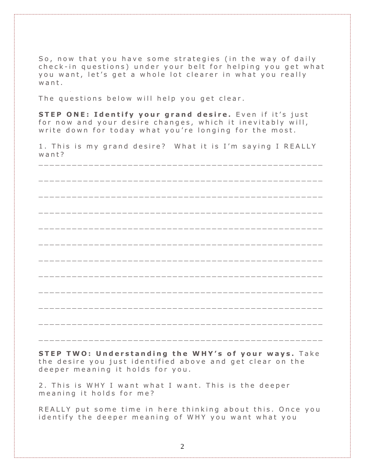So, now that you have some strategies (in the way of daily check-in questions) under your belt for helping you get what you want, let's get a whole lot clearer in what you really want.

The questions below will help you get clear.

STEP ONE: Identify your grand desire. Even if it's just for now and your desire changes, which it inevitably will, write down for today what you're longing for the most.

1. This is my grand desire? What it is I'm saying I REALLY  $w$  ant?

STEP TWO: Understanding the WHY's of your ways. Take the desire you just identified above and get clear on the deeper meaning it holds for you.

2. This is WHY I want what I want. This is the deeper meaning it holds for me?

REALLY put some time in here thinking about this. Once you identify the deeper meaning of WHY you want what you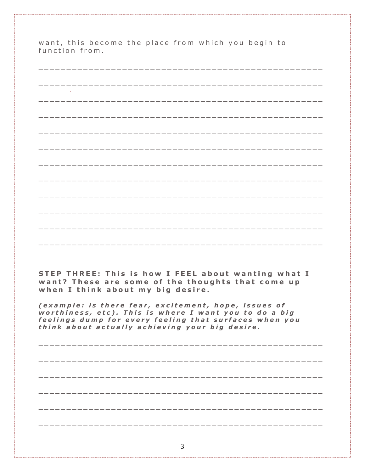want, this become the place from which you begin to<br>function from.

| STEP THREE: This is how I FEEL about wanting what I<br>want? These are some of the thoughts that come up<br>when I think about my big desire.                                                                               |
|-----------------------------------------------------------------------------------------------------------------------------------------------------------------------------------------------------------------------------|
| (example: is there fear, excitement, hope, issues of<br>worthiness, etc). This is where I want you to do a big<br>feelings dump for every feeling that surfaces when you<br>think about actually achieving your big desire. |
|                                                                                                                                                                                                                             |
|                                                                                                                                                                                                                             |
|                                                                                                                                                                                                                             |
|                                                                                                                                                                                                                             |
|                                                                                                                                                                                                                             |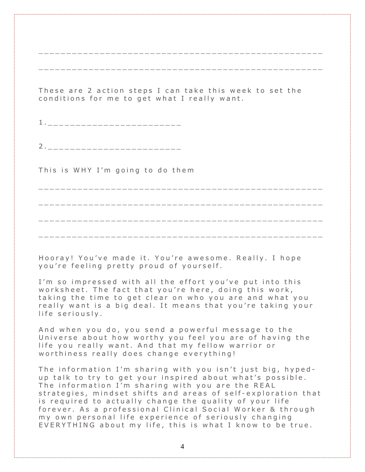These are 2 action steps I can take this week to set the conditions for me to get what I really want.

2.\_\_\_\_\_\_\_\_\_\_\_\_\_\_\_\_\_\_\_\_\_\_\_\_\_\_\_

This is WHY I'm going to do them

Hooray! You've made it. You're awesome. Really. I hope you're feeling pretty proud of yourself.

I'm so impressed with all the effort you've put into this worksheet. The fact that you're here, doing this work, taking the time to get clear on who you are and what you really want is a big deal. It means that you're taking your life seriously.

And when you do, you send a powerful message to the Universe about how worthy you feel you are of having the life you really want. And that my fellow warrior or worthiness really does change everything!

The information I'm sharing with you isn't just big, hypedup talk to try to get your inspired about what's possible. The information I'm sharing with you are the REAL strategies, mindset shifts and areas of self-exploration that is required to actually change the quality of your life forever. As a professional Clinical Social Worker & through my own personal life experience of seriously changing EVERYTHING about my life, this is what I know to be true.